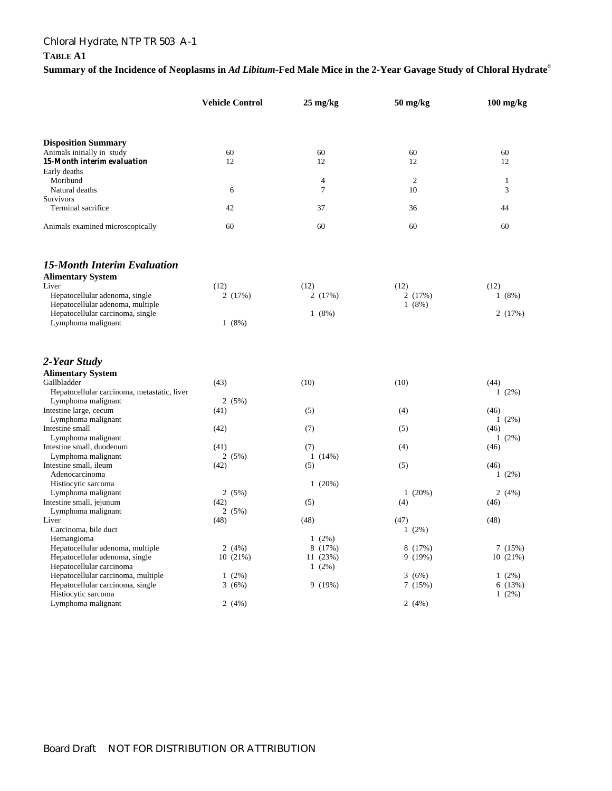# Chloral Hydrate, NTP TR 503 A-1

### **TABLE A1**

**Summary of the Incidence of Neoplasms in** *Ad Libitum***-Fed Male Mice in the 2-Year Gavage Study of Chloral Hydrate**<sup>a</sup>

|                                                          | <b>Vehicle Control</b> | $25 \text{ mg/kg}$ | 50 mg/kg       | $100$ mg/kg   |
|----------------------------------------------------------|------------------------|--------------------|----------------|---------------|
|                                                          |                        |                    |                |               |
| <b>Disposition Summary</b><br>Animals initially in study | 60                     | 60                 | 60             | 60            |
| 15-Month interim evaluation                              | 12                     | 12                 | 12             | 12            |
| Early deaths                                             |                        |                    |                |               |
| Moribund                                                 |                        | 4                  | $\overline{c}$ | $\mathbf{1}$  |
| Natural deaths                                           | 6                      | $\overline{7}$     | 10             | 3             |
| <b>Survivors</b>                                         |                        |                    |                |               |
| Terminal sacrifice                                       | 42                     | 37                 | 36             | 44            |
| Animals examined microscopically                         | 60                     | 60                 | 60             | 60            |
| <b>15-Month Interim Evaluation</b>                       |                        |                    |                |               |
| <b>Alimentary System</b>                                 |                        |                    |                |               |
| Liver                                                    | (12)                   | (12)               | (12)           | (12)          |
| Hepatocellular adenoma, single                           | 2 (17%)                | 2 (17%)            | 2(17%)         | 1(8%)         |
| Hepatocellular adenoma, multiple                         |                        |                    | 1(8%)          |               |
| Hepatocellular carcinoma, single                         |                        | 1(8%)              |                | 2(17%)        |
| Lymphoma malignant                                       | 1(8%)                  |                    |                |               |
| 2-Year Study                                             |                        |                    |                |               |
| <b>Alimentary System</b>                                 |                        |                    |                |               |
| Gallbladder                                              | (43)                   | (10)               | (10)           | (44)          |
| Hepatocellular carcinoma, metastatic, liver              |                        |                    |                | $1(2\%)$      |
| Lymphoma malignant                                       | 2(5%)                  |                    |                |               |
| Intestine large, cecum                                   | (41)                   | (5)                | (4)            | (46)          |
| Lymphoma malignant                                       |                        |                    |                | $1(2\%)$      |
| Intestine small                                          | (42)                   | (7)                | (5)            | (46)          |
| Lymphoma malignant                                       |                        |                    |                | $1(2\%)$      |
| Intestine small, duodenum                                | (41)                   | (7)                | (4)            | (46)          |
| Lymphoma malignant                                       | 2(5%)                  | 1(14%)             |                |               |
| Intestine small, ileum                                   | (42)                   | (5)                | (5)            | (46)          |
| Adenocarcinoma                                           |                        |                    |                | $1(2\%)$      |
| Histiocytic sarcoma                                      |                        | 1(20%)             |                |               |
| Lymphoma malignant<br>Intestine small, jejunum           | 2(5%)<br>(42)          | (5)                | 1(20%)<br>(4)  | 2(4%)<br>(46) |
| Lymphoma malignant                                       | 2(5%)                  |                    |                |               |
| Liver                                                    | (48)                   | (48)               | (47)           | (48)          |
| Carcinoma, bile duct                                     |                        |                    | $1(2\%)$       |               |
| Hemangioma                                               |                        | $1(2\%)$           |                |               |
| Hepatocellular adenoma, multiple                         | 2(4%)                  | 8 (17%)            | 8 (17%)        | 7(15%)        |
| Hepatocellular adenoma, single                           | 10(21%)                | 11 (23%)           | 9(19%)         | 10(21%)       |
| Hepatocellular carcinoma                                 |                        | $1(2\%)$           |                |               |
| Hepatocellular carcinoma, multiple                       | $1(2\%)$               |                    | 3(6%)          | $1(2\%)$      |
| Hepatocellular carcinoma, single                         | 3(6%)                  | 9 (19%)            | 7 (15%)        | 6(13%)        |
| Histiocytic sarcoma                                      |                        |                    |                | $1(2\%)$      |
| Lymphoma malignant                                       | 2(4%)                  |                    | 2(4%)          |               |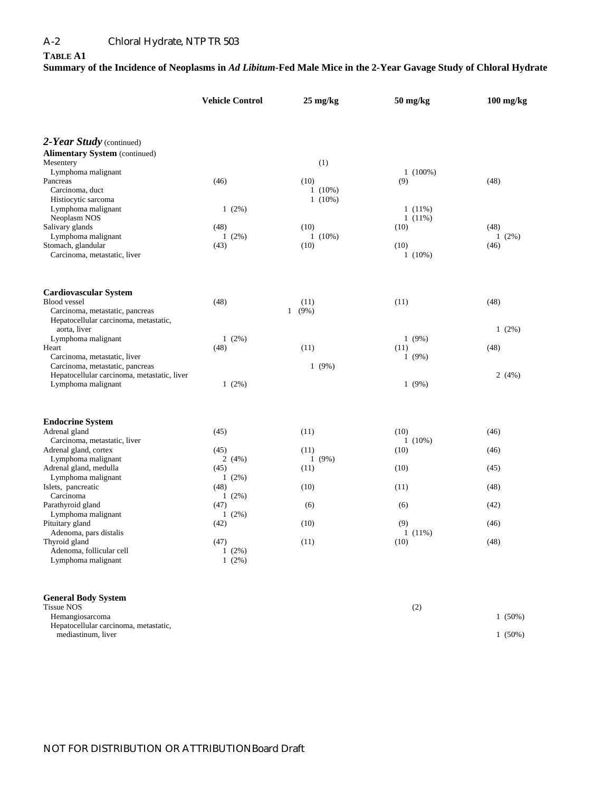#### **TABLE A1**

### **Summary of the Incidence of Neoplasms in** *Ad Libitum***-Fed Male Mice in the 2-Year Gavage Study of Chloral Hydrate**

|                                                | <b>Vehicle Control</b> | $25 \text{ mg/kg}$<br>$50$ mg/kg |            | $100$ mg/kg |  |
|------------------------------------------------|------------------------|----------------------------------|------------|-------------|--|
|                                                |                        |                                  |            |             |  |
| 2-Year Study (continued)                       |                        |                                  |            |             |  |
| <b>Alimentary System (continued)</b>           |                        |                                  |            |             |  |
| Mesentery<br>Lymphoma malignant                |                        | (1)                              | $1(100\%)$ |             |  |
| Pancreas                                       | (46)                   | (10)                             | (9)        | (48)        |  |
| Carcinoma, duct                                |                        | $1(10\%)$                        |            |             |  |
| Histiocytic sarcoma                            |                        | $1(10\%)$                        |            |             |  |
| Lymphoma malignant                             | $1(2\%)$               |                                  | $1(11\%)$  |             |  |
| Neoplasm NOS                                   |                        |                                  | $1(11\%)$  |             |  |
| Salivary glands                                | (48)                   | (10)                             | (10)       | (48)        |  |
| Lymphoma malignant                             | $1(2\%)$               | $1(10\%)$                        |            | $1(2\%)$    |  |
| Stomach, glandular                             | (43)                   | (10)                             | (10)       | (46)        |  |
| Carcinoma, metastatic, liver                   |                        |                                  | $1(10\%)$  |             |  |
| Cardiovascular System                          |                        |                                  |            |             |  |
| <b>Blood</b> vessel                            | (48)                   | (11)                             | (11)       | (48)        |  |
| Carcinoma, metastatic, pancreas                |                        | $1(9\%)$                         |            |             |  |
| Hepatocellular carcinoma, metastatic,          |                        |                                  |            |             |  |
| aorta. liver                                   |                        |                                  |            | $1(2\%)$    |  |
| Lymphoma malignant                             | $1(2\%)$               |                                  | $1(9\%)$   |             |  |
| Heart                                          | (48)                   | (11)                             | (11)       | (48)        |  |
| Carcinoma, metastatic, liver                   |                        |                                  | 1(9%)      |             |  |
| Carcinoma, metastatic, pancreas                |                        | 1(9%)                            |            |             |  |
| Hepatocellular carcinoma, metastatic, liver    |                        |                                  |            | 2(4%)       |  |
| Lymphoma malignant                             | $1(2\%)$               |                                  | 1(9%)      |             |  |
| <b>Endocrine System</b>                        |                        |                                  |            |             |  |
| Adrenal gland                                  | (45)                   | (11)                             | (10)       | (46)        |  |
| Carcinoma, metastatic, liver                   |                        |                                  | $1(10\%)$  |             |  |
| Adrenal gland, cortex                          | (45)                   | (11)                             | (10)       | (46)        |  |
| Lymphoma malignant                             | 2(4%)                  | 1(9%)                            |            |             |  |
| Adrenal gland, medulla                         | (45)                   | (11)                             | (10)       | (45)        |  |
| Lymphoma malignant                             | $1(2\%)$               |                                  |            |             |  |
| Islets, pancreatic                             | (48)                   | (10)                             | (11)       | (48)        |  |
| Carcinoma                                      | $1(2\%)$               |                                  |            |             |  |
| Parathyroid gland                              | (47)                   | (6)                              | (6)        | (42)        |  |
| Lymphoma malignant                             | $1(2\%)$               |                                  |            |             |  |
| Pituitary gland                                | (42)                   | (10)                             | (9)        | (46)        |  |
| Adenoma, pars distalis                         |                        |                                  | $1(11\%)$  |             |  |
| Thyroid gland                                  | (47)                   | (11)                             | (10)       | (48)        |  |
| Adenoma, follicular cell<br>Lymphoma malignant | $1(2\%)$<br>$1(2\%)$   |                                  |            |             |  |
|                                                |                        |                                  |            |             |  |
| <b>General Body System</b>                     |                        |                                  |            |             |  |
| <b>Tissue NOS</b><br>Hemangiosarcoma           |                        |                                  | (2)        | $1(50\%)$   |  |
| Hepatocellular carcinoma, metastatic,          |                        |                                  |            |             |  |
| mediastinum, liver                             |                        |                                  |            | $1(50\%)$   |  |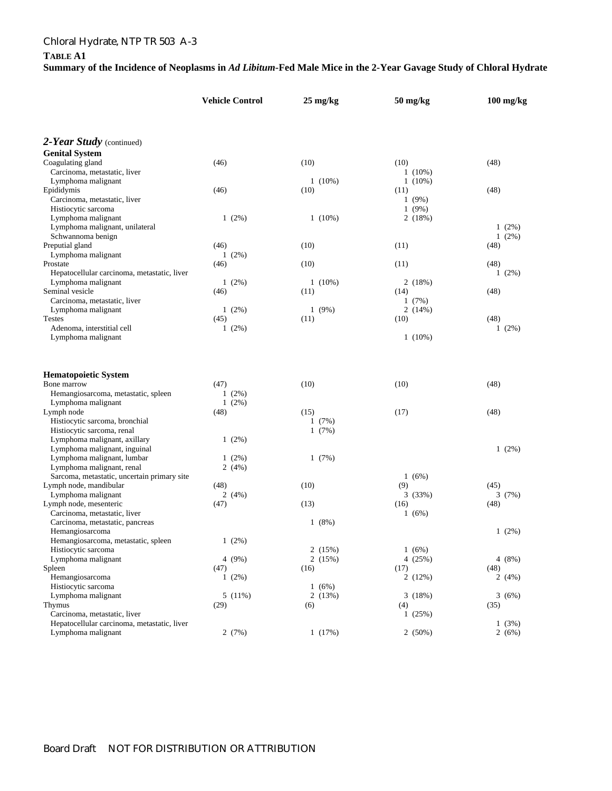# Chloral Hydrate, NTP TR 503 A-3

#### **TABLE A1**

# **Summary of the Incidence of Neoplasms in** *Ad Libitum***-Fed Male Mice in the 2-Year Gavage Study of Chloral Hydrate**

|                                                                          |      | <b>Vehicle Control</b> |      | $25 \text{ mg/kg}$ |      | 50 mg/kg               |      | $100$ mg/kg |
|--------------------------------------------------------------------------|------|------------------------|------|--------------------|------|------------------------|------|-------------|
|                                                                          |      |                        |      |                    |      |                        |      |             |
| 2-Year Study (continued)                                                 |      |                        |      |                    |      |                        |      |             |
| <b>Genital System</b>                                                    |      |                        |      |                    |      |                        |      |             |
| Coagulating gland                                                        | (46) |                        | (10) |                    | (10) |                        | (48) |             |
| Carcinoma, metastatic, liver<br>Lymphoma malignant                       |      |                        |      | $1(10\%)$          |      | $1(10\%)$<br>$1(10\%)$ |      |             |
| Epididymis                                                               | (46) |                        | (10) |                    | (11) |                        | (48) |             |
| Carcinoma, metastatic, liver                                             |      |                        |      |                    |      | 1(9%)                  |      |             |
| Histiocytic sarcoma                                                      |      |                        |      |                    |      | 1(9%)                  |      |             |
| Lymphoma malignant                                                       |      | $1(2\%)$               |      | $1(10\%)$          |      | 2(18%)                 |      |             |
| Lymphoma malignant, unilateral                                           |      |                        |      |                    |      |                        |      | $1(2\%)$    |
| Schwannoma benign                                                        |      |                        |      |                    |      |                        |      | $1(2\%)$    |
| Preputial gland                                                          | (46) |                        | (10) |                    | (11) |                        | (48) |             |
| Lymphoma malignant                                                       |      | $1(2\%)$               |      |                    |      |                        |      |             |
| Prostate                                                                 | (46) |                        | (10) |                    | (11) |                        | (48) |             |
| Hepatocellular carcinoma, metastatic, liver                              |      |                        |      |                    |      |                        |      | $1(2\%)$    |
| Lymphoma malignant                                                       |      | $1(2\%)$               |      | $1(10\%)$          |      | 2(18%)                 |      |             |
| Seminal vesicle                                                          | (46) |                        | (11) |                    | (14) |                        | (48) |             |
| Carcinoma, metastatic, liver                                             |      |                        |      |                    |      | 1(7%)                  |      |             |
| Lymphoma malignant                                                       |      | $1(2\%)$               |      | 1(9%)              |      | 2(14%)                 |      |             |
| <b>Testes</b>                                                            | (45) |                        | (11) |                    | (10) |                        | (48) |             |
| Adenoma, interstitial cell                                               |      | $1(2\%)$               |      |                    |      |                        |      | $1(2\%)$    |
| Lymphoma malignant                                                       |      |                        |      |                    |      | $1(10\%)$              |      |             |
|                                                                          |      |                        |      |                    |      |                        |      |             |
| <b>Hematopoietic System</b>                                              |      |                        |      |                    |      |                        |      |             |
| Bone marrow                                                              | (47) |                        | (10) |                    | (10) |                        | (48) |             |
| Hemangiosarcoma, metastatic, spleen                                      |      | $1(2\%)$               |      |                    |      |                        |      |             |
| Lymphoma malignant                                                       |      | $1(2\%)$               |      |                    |      |                        |      |             |
| Lymph node                                                               | (48) |                        | (15) |                    | (17) |                        | (48) |             |
| Histiocytic sarcoma, bronchial                                           |      |                        |      | 1(7%)              |      |                        |      |             |
| Histiocytic sarcoma, renal                                               |      |                        |      | 1(7%)              |      |                        |      |             |
| Lymphoma malignant, axillary                                             |      | $1(2\%)$               |      |                    |      |                        |      |             |
| Lymphoma malignant, inguinal                                             |      |                        |      |                    |      |                        |      | $1(2\%)$    |
| Lymphoma malignant, lumbar                                               |      | $1(2\%)$               |      | 1(7%)              |      |                        |      |             |
| Lymphoma malignant, renal<br>Sarcoma, metastatic, uncertain primary site |      | 2(4%)                  |      |                    |      | 1(6%)                  |      |             |
| Lymph node, mandibular                                                   | (48) |                        | (10) |                    | (9)  |                        | (45) |             |
| Lymphoma malignant                                                       |      | 2(4%)                  |      |                    |      | 3(33%)                 |      | 3(7%)       |
| Lymph node, mesenteric                                                   | (47) |                        | (13) |                    | (16) |                        | (48) |             |
| Carcinoma, metastatic, liver                                             |      |                        |      |                    |      | 1(6%)                  |      |             |
| Carcinoma, metastatic, pancreas                                          |      |                        |      | 1(8%)              |      |                        |      |             |
| Hemangiosarcoma                                                          |      |                        |      |                    |      |                        |      | $1(2\%)$    |
| Hemangiosarcoma, metastatic, spleen                                      |      | $1(2\%)$               |      |                    |      |                        |      |             |
| Histiocytic sarcoma                                                      |      |                        |      | 2(15%)             |      | 1(6%)                  |      |             |
| Lymphoma malignant                                                       |      | 4 (9%)                 |      | 2(15%)             |      | 4 (25%)                |      | 4(8%)       |
| Spleen                                                                   | (47) |                        | (16) |                    | (17) |                        | (48) |             |
| Hemangiosarcoma                                                          |      | 1(2%)                  |      |                    |      | 2(12%)                 |      | 2 $(4%)$    |
| Histiocytic sarcoma                                                      |      |                        |      | 1(6%)              |      |                        |      |             |
| Lymphoma malignant                                                       |      | 5(11%)                 |      | 2(13%)             |      | 3(18%)                 |      | 3(6%)       |
| Thymus                                                                   | (29) |                        | (6)  |                    | (4)  |                        | (35) |             |
| Carcinoma, metastatic, liver                                             |      |                        |      |                    |      | 1(25%)                 |      |             |
| Hepatocellular carcinoma, metastatic, liver                              |      |                        |      |                    |      |                        |      | 1(3%)       |
| Lymphoma malignant                                                       |      | 2(7%)                  |      | 1(17%)             |      | 2(50%)                 |      | 2(6%)       |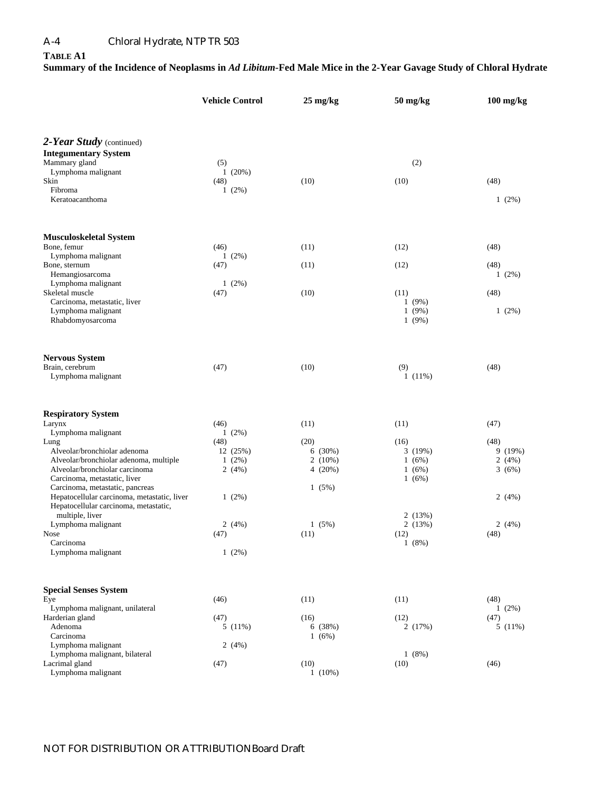# A-4 Chloral Hydrate, NTP TR 503

### **TABLE A1**

# **Summary of the Incidence of Neoplasms in** *Ad Libitum***-Fed Male Mice in the 2-Year Gavage Study of Chloral Hydrate**

|                                                                 | <b>Vehicle Control</b> | $25 \text{ mg/kg}$ | 50 mg/kg       | $100$ mg/kg |
|-----------------------------------------------------------------|------------------------|--------------------|----------------|-------------|
|                                                                 |                        |                    |                |             |
| 2-Year Study (continued)                                        |                        |                    |                |             |
| <b>Integumentary System</b>                                     |                        |                    |                |             |
| Mammary gland                                                   | (5)                    |                    | (2)            |             |
| Lymphoma malignant                                              | 1(20%)                 |                    |                |             |
| Skin<br>Fibroma                                                 | (48)<br>$1(2\%)$       | (10)               | (10)           | (48)        |
| Keratoacanthoma                                                 |                        |                    |                | $1(2\%)$    |
|                                                                 |                        |                    |                |             |
| Musculoskeletal System                                          |                        |                    |                |             |
| Bone, femur                                                     | (46)                   | (11)               | (12)           | (48)        |
| Lymphoma malignant                                              | $1(2\%)$               |                    |                |             |
| Bone, sternum                                                   | (47)                   | (11)               | (12)           | (48)        |
| Hemangiosarcoma                                                 |                        |                    |                | $1(2\%)$    |
| Lymphoma malignant                                              | $1(2\%)$               |                    |                |             |
| Skeletal muscle                                                 | (47)                   | (10)               | (11)           | (48)        |
| Carcinoma, metastatic, liver<br>Lymphoma malignant              |                        |                    | 1(9%)<br>1(9%) | $1(2\%)$    |
| Rhabdomyosarcoma                                                |                        |                    | 1(9%)          |             |
|                                                                 |                        |                    |                |             |
| <b>Nervous System</b>                                           |                        |                    |                |             |
| Brain, cerebrum                                                 | (47)                   | (10)               | (9)            | (48)        |
| Lymphoma malignant                                              |                        |                    | 1(11%)         |             |
| <b>Respiratory System</b>                                       |                        |                    |                |             |
| Larynx                                                          | (46)                   | (11)               | (11)           | (47)        |
| Lymphoma malignant                                              | 1(2%)                  |                    |                |             |
| Lung                                                            | (48)                   | (20)               | (16)           | (48)        |
| Alveolar/bronchiolar adenoma                                    | 12 (25%)               | 6(30%)             | 3(19%)         | 9(19%)      |
| Alveolar/bronchiolar adenoma, multiple                          | $1(2\%)$               | $2(10\%)$          | 1(6%)          | 2(4%)       |
| Alveolar/bronchiolar carcinoma                                  | 2(4%)                  | 4 $(20%)$          | 1(6%)          | 3(6%)       |
| Carcinoma, metastatic, liver<br>Carcinoma, metastatic, pancreas |                        | 1(5%)              | 1(6%)          |             |
| Hepatocellular carcinoma, metastatic, liver                     | 1(2%)                  |                    |                | 2(4%)       |
| Hepatocellular carcinoma, metastatic,                           |                        |                    |                |             |
| multiple, liver                                                 |                        |                    | 2(13%)         |             |
| Lymphoma malignant                                              | 2(4%)                  | 1(5%)              | 2(13%)         | 2 $(4%)$    |
| <b>Nose</b>                                                     | (47)                   | (11)               | (12)           | (48)        |
| Carcinoma                                                       |                        |                    | 1(8%)          |             |
| Lymphoma malignant                                              | 1(2%)                  |                    |                |             |
| <b>Special Senses System</b>                                    |                        |                    |                |             |
| Eye                                                             | (46)                   | (11)               | (11)           | (48)        |
| Lymphoma malignant, unilateral                                  |                        |                    |                | $1(2\%)$    |
| Harderian gland                                                 | (47)                   | (16)               | (12)           | (47)        |
| Adenoma                                                         | 5(11%)                 | 6(38%)             | 2(17%)         | 5(11%)      |
| Carcinoma                                                       |                        | 1(6%)              |                |             |
| Lymphoma malignant                                              | 2(4%)                  |                    |                |             |
| Lymphoma malignant, bilateral                                   |                        |                    | 1(8%)          |             |
| Lacrimal gland<br>Lymphoma malignant                            | (47)                   | (10)<br>$1(10\%)$  | (10)           | (46)        |
|                                                                 |                        |                    |                |             |